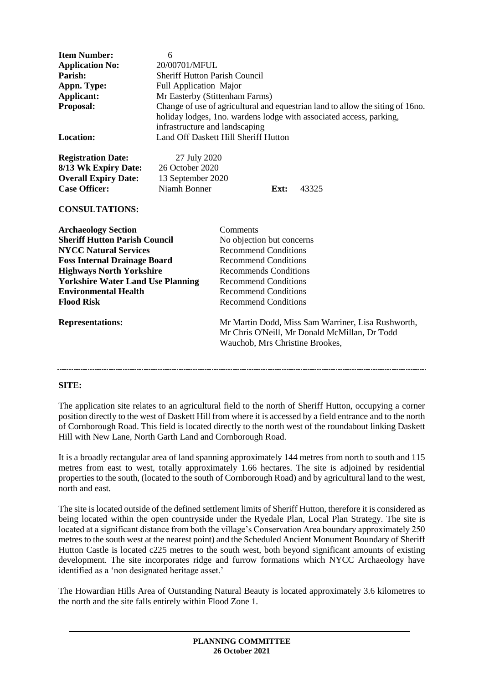| <b>Item Number:</b><br><b>Application No:</b><br>Parish:<br>Appn. Type:<br>Applicant:<br>Proposal:<br><b>Location:</b>                                                                                                                                                                                  | 6<br>20/00701/MFUL<br><b>Sheriff Hutton Parish Council</b><br>Full Application Major<br>Mr Easterby (Stittenham Farms)<br>Change of use of agricultural and equestrian land to allow the siting of 16 no.<br>holiday lodges, 1no. wardens lodge with associated access, parking,<br>infrastructure and landscaping<br>Land Off Daskett Hill Sheriff Hutton |                                                                                                                                                                                                                                                                     |                                                                                                     |
|---------------------------------------------------------------------------------------------------------------------------------------------------------------------------------------------------------------------------------------------------------------------------------------------------------|------------------------------------------------------------------------------------------------------------------------------------------------------------------------------------------------------------------------------------------------------------------------------------------------------------------------------------------------------------|---------------------------------------------------------------------------------------------------------------------------------------------------------------------------------------------------------------------------------------------------------------------|-----------------------------------------------------------------------------------------------------|
| <b>Registration Date:</b><br>8/13 Wk Expiry Date:<br><b>Overall Expiry Date:</b><br><b>Case Officer:</b><br><b>CONSULTATIONS:</b>                                                                                                                                                                       | 27 July 2020<br>26 October 2020<br>13 September 2020<br>Niamh Bonner                                                                                                                                                                                                                                                                                       | Ext:                                                                                                                                                                                                                                                                | 43325                                                                                               |
| <b>Archaeology Section</b><br><b>Sheriff Hutton Parish Council</b><br><b>NYCC Natural Services</b><br><b>Foss Internal Drainage Board</b><br><b>Highways North Yorkshire</b><br><b>Yorkshire Water Land Use Planning</b><br><b>Environmental Health</b><br><b>Flood Risk</b><br><b>Representations:</b> |                                                                                                                                                                                                                                                                                                                                                            | Comments<br>No objection but concerns<br><b>Recommend Conditions</b><br><b>Recommend Conditions</b><br><b>Recommends Conditions</b><br><b>Recommend Conditions</b><br><b>Recommend Conditions</b><br><b>Recommend Conditions</b><br>Wauchob, Mrs Christine Brookes, | Mr Martin Dodd, Miss Sam Warriner, Lisa Rushworth,<br>Mr Chris O'Neill, Mr Donald McMillan, Dr Todd |

### **SITE:**

The application site relates to an agricultural field to the north of Sheriff Hutton, occupying a corner position directly to the west of Daskett Hill from where it is accessed by a field entrance and to the north of Cornborough Road. This field is located directly to the north west of the roundabout linking Daskett Hill with New Lane, North Garth Land and Cornborough Road.

It is a broadly rectangular area of land spanning approximately 144 metres from north to south and 115 metres from east to west, totally approximately 1.66 hectares. The site is adjoined by residential properties to the south, (located to the south of Cornborough Road) and by agricultural land to the west, north and east.

The site is located outside of the defined settlement limits of Sheriff Hutton, therefore it is considered as being located within the open countryside under the Ryedale Plan, Local Plan Strategy. The site is located at a significant distance from both the village's Conservation Area boundary approximately 250 metres to the south west at the nearest point) and the Scheduled Ancient Monument Boundary of Sheriff Hutton Castle is located c225 metres to the south west, both beyond significant amounts of existing development. The site incorporates ridge and furrow formations which NYCC Archaeology have identified as a 'non designated heritage asset.'

The Howardian Hills Area of Outstanding Natural Beauty is located approximately 3.6 kilometres to the north and the site falls entirely within Flood Zone 1.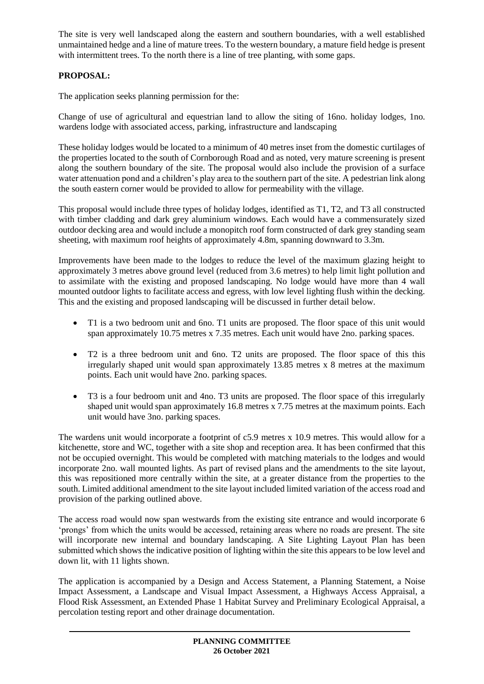The site is very well landscaped along the eastern and southern boundaries, with a well established unmaintained hedge and a line of mature trees. To the western boundary, a mature field hedge is present with intermittent trees. To the north there is a line of tree planting, with some gaps.

## **PROPOSAL:**

The application seeks planning permission for the:

Change of use of agricultural and equestrian land to allow the siting of 16no. holiday lodges, 1no. wardens lodge with associated access, parking, infrastructure and landscaping

These holiday lodges would be located to a minimum of 40 metres inset from the domestic curtilages of the properties located to the south of Cornborough Road and as noted, very mature screening is present along the southern boundary of the site. The proposal would also include the provision of a surface water attenuation pond and a children's play area to the southern part of the site. A pedestrian link along the south eastern corner would be provided to allow for permeability with the village.

This proposal would include three types of holiday lodges, identified as T1, T2, and T3 all constructed with timber cladding and dark grey aluminium windows. Each would have a commensurately sized outdoor decking area and would include a monopitch roof form constructed of dark grey standing seam sheeting, with maximum roof heights of approximately 4.8m, spanning downward to 3.3m.

Improvements have been made to the lodges to reduce the level of the maximum glazing height to approximately 3 metres above ground level (reduced from 3.6 metres) to help limit light pollution and to assimilate with the existing and proposed landscaping. No lodge would have more than 4 wall mounted outdoor lights to facilitate access and egress, with low level lighting flush within the decking. This and the existing and proposed landscaping will be discussed in further detail below.

- T1 is a two bedroom unit and 6no. T1 units are proposed. The floor space of this unit would span approximately 10.75 metres x 7.35 metres. Each unit would have 2no. parking spaces.
- T2 is a three bedroom unit and 6no. T2 units are proposed. The floor space of this this irregularly shaped unit would span approximately 13.85 metres x 8 metres at the maximum points. Each unit would have 2no. parking spaces.
- T3 is a four bedroom unit and 4no. T3 units are proposed. The floor space of this irregularly shaped unit would span approximately 16.8 metres x 7.75 metres at the maximum points. Each unit would have 3no. parking spaces.

The wardens unit would incorporate a footprint of c5.9 metres x 10.9 metres. This would allow for a kitchenette, store and WC, together with a site shop and reception area. It has been confirmed that this not be occupied overnight. This would be completed with matching materials to the lodges and would incorporate 2no. wall mounted lights. As part of revised plans and the amendments to the site layout, this was repositioned more centrally within the site, at a greater distance from the properties to the south. Limited additional amendment to the site layout included limited variation of the access road and provision of the parking outlined above.

The access road would now span westwards from the existing site entrance and would incorporate 6 'prongs' from which the units would be accessed, retaining areas where no roads are present. The site will incorporate new internal and boundary landscaping. A Site Lighting Layout Plan has been submitted which shows the indicative position of lighting within the site this appears to be low level and down lit, with 11 lights shown.

The application is accompanied by a Design and Access Statement, a Planning Statement, a Noise Impact Assessment, a Landscape and Visual Impact Assessment, a Highways Access Appraisal, a Flood Risk Assessment, an Extended Phase 1 Habitat Survey and Preliminary Ecological Appraisal, a percolation testing report and other drainage documentation.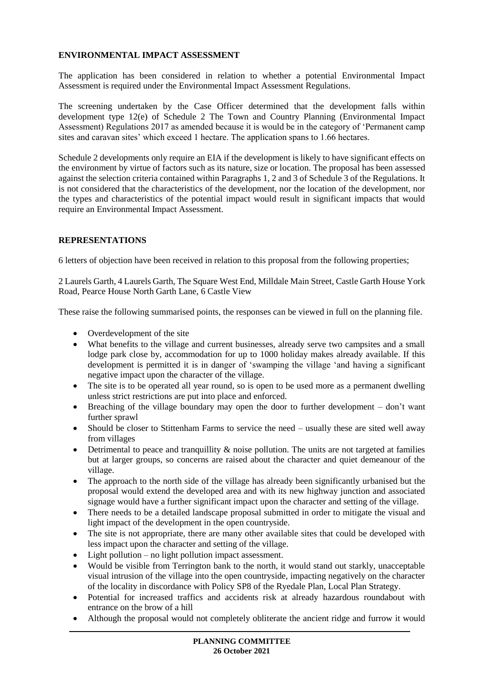## **ENVIRONMENTAL IMPACT ASSESSMENT**

The application has been considered in relation to whether a potential Environmental Impact Assessment is required under the Environmental Impact Assessment Regulations.

The screening undertaken by the Case Officer determined that the development falls within development type 12(e) of Schedule 2 The Town and Country Planning (Environmental Impact Assessment) Regulations 2017 as amended because it is would be in the category of 'Permanent camp sites and caravan sites' which exceed 1 hectare. The application spans to 1.66 hectares.

Schedule 2 developments only require an EIA if the development is likely to have significant effects on the environment by virtue of factors such as its nature, size or location. The proposal has been assessed against the selection criteria contained within Paragraphs 1, 2 and 3 of Schedule 3 of the Regulations. It is not considered that the characteristics of the development, nor the location of the development, nor the types and characteristics of the potential impact would result in significant impacts that would require an Environmental Impact Assessment.

### **REPRESENTATIONS**

6 letters of objection have been received in relation to this proposal from the following properties;

2 Laurels Garth, 4 Laurels Garth, The Square West End, Milldale Main Street, Castle Garth House York Road, Pearce House North Garth Lane, 6 Castle View

These raise the following summarised points, the responses can be viewed in full on the planning file.

- Overdevelopment of the site
- What benefits to the village and current businesses, already serve two campsites and a small lodge park close by, accommodation for up to 1000 holiday makes already available. If this development is permitted it is in danger of 'swamping the village 'and having a significant negative impact upon the character of the village.
- The site is to be operated all year round, so is open to be used more as a permanent dwelling unless strict restrictions are put into place and enforced.
- Breaching of the village boundary may open the door to further development don't want further sprawl
- Should be closer to Stittenham Farms to service the need usually these are sited well away from villages
- $\bullet$  Detrimental to peace and tranquillity & noise pollution. The units are not targeted at families but at larger groups, so concerns are raised about the character and quiet demeanour of the village.
- The approach to the north side of the village has already been significantly urbanised but the proposal would extend the developed area and with its new highway junction and associated signage would have a further significant impact upon the character and setting of the village.
- There needs to be a detailed landscape proposal submitted in order to mitigate the visual and light impact of the development in the open countryside.
- The site is not appropriate, there are many other available sites that could be developed with less impact upon the character and setting of the village.
- Light pollution no light pollution impact assessment.
- Would be visible from Terrington bank to the north, it would stand out starkly, unacceptable visual intrusion of the village into the open countryside, impacting negatively on the character of the locality in discordance with Policy SP8 of the Ryedale Plan, Local Plan Strategy.
- Potential for increased traffics and accidents risk at already hazardous roundabout with entrance on the brow of a hill
- Although the proposal would not completely obliterate the ancient ridge and furrow it would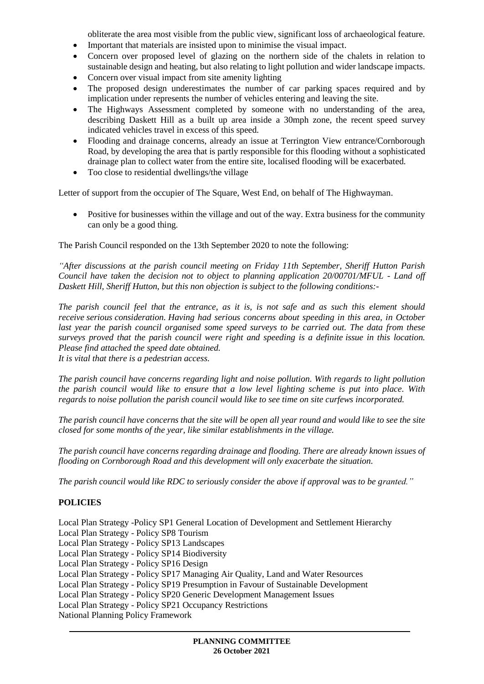obliterate the area most visible from the public view, significant loss of archaeological feature.

- Important that materials are insisted upon to minimise the visual impact.
- Concern over proposed level of glazing on the northern side of the chalets in relation to sustainable design and heating, but also relating to light pollution and wider landscape impacts.
- Concern over visual impact from site amenity lighting
- The proposed design underestimates the number of car parking spaces required and by implication under represents the number of vehicles entering and leaving the site.
- The Highways Assessment completed by someone with no understanding of the area, describing Daskett Hill as a built up area inside a 30mph zone, the recent speed survey indicated vehicles travel in excess of this speed.
- Flooding and drainage concerns, already an issue at Terrington View entrance/Cornborough Road, by developing the area that is partly responsible for this flooding without a sophisticated drainage plan to collect water from the entire site, localised flooding will be exacerbated.
- Too close to residential dwellings/the village

Letter of support from the occupier of The Square, West End, on behalf of The Highwayman.

• Positive for businesses within the village and out of the way. Extra business for the community can only be a good thing.

The Parish Council responded on the 13th September 2020 to note the following:

*"After discussions at the parish council meeting on Friday 11th September, Sheriff Hutton Parish Council have taken the decision not to object to planning application 20/00701/MFUL - Land off Daskett Hill, Sheriff Hutton, but this non objection is subject to the following conditions:-*

*The parish council feel that the entrance, as it is, is not safe and as such this element should receive serious consideration. Having had serious concerns about speeding in this area, in October*  last year the parish council organised some speed surveys to be carried out. The data from these *surveys proved that the parish council were right and speeding is a definite issue in this location. Please find attached the speed date obtained.*

*It is vital that there is a pedestrian access.*

*The parish council have concerns regarding light and noise pollution. With regards to light pollution the parish council would like to ensure that a low level lighting scheme is put into place. With regards to noise pollution the parish council would like to see time on site curfews incorporated.*

*The parish council have concerns that the site will be open all year round and would like to see the site closed for some months of the year, like similar establishments in the village.*

*The parish council have concerns regarding drainage and flooding. There are already known issues of flooding on Cornborough Road and this development will only exacerbate the situation.*

*The parish council would like RDC to seriously consider the above if approval was to be granted."*

## **POLICIES**

Local Plan Strategy -Policy SP1 General Location of Development and Settlement Hierarchy Local Plan Strategy - Policy SP8 Tourism Local Plan Strategy - Policy SP13 Landscapes Local Plan Strategy - Policy SP14 Biodiversity Local Plan Strategy - Policy SP16 Design Local Plan Strategy - Policy SP17 Managing Air Quality, Land and Water Resources Local Plan Strategy - Policy SP19 Presumption in Favour of Sustainable Development Local Plan Strategy - Policy SP20 Generic Development Management Issues Local Plan Strategy - Policy SP21 Occupancy Restrictions National Planning Policy Framework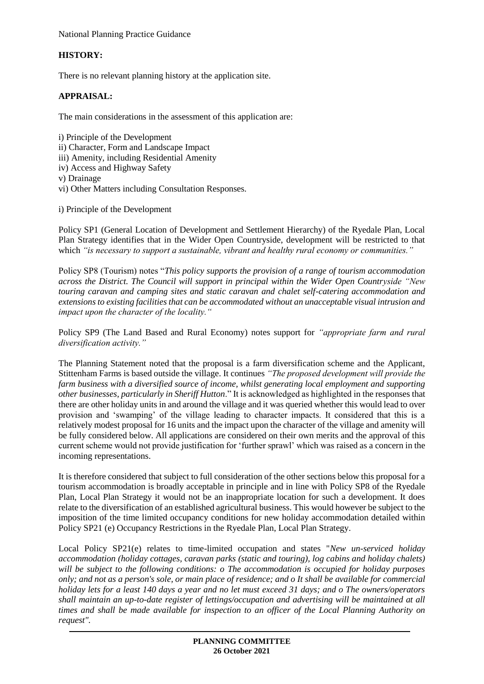National Planning Practice Guidance

# **HISTORY:**

There is no relevant planning history at the application site.

## **APPRAISAL:**

The main considerations in the assessment of this application are:

i) Principle of the Development ii) Character, Form and Landscape Impact iii) Amenity, including Residential Amenity iv) Access and Highway Safety v) Drainage vi) Other Matters including Consultation Responses.

i) Principle of the Development

Policy SP1 (General Location of Development and Settlement Hierarchy) of the Ryedale Plan, Local Plan Strategy identifies that in the Wider Open Countryside, development will be restricted to that which *"is necessary to support a sustainable, vibrant and healthy rural economy or communities."*

Policy SP8 (Tourism) notes "*This policy supports the provision of a range of tourism accommodation across the District. The Council will support in principal within the Wider Open Countryside "New touring caravan and camping sites and static caravan and chalet self-catering accommodation and extensions to existing facilities that can be accommodated without an unacceptable visual intrusion and impact upon the character of the locality."*

Policy SP9 (The Land Based and Rural Economy) notes support for *"appropriate farm and rural diversification activity."*

The Planning Statement noted that the proposal is a farm diversification scheme and the Applicant, Stittenham Farms is based outside the village. It continues *"The proposed development will provide the farm business with a diversified source of income, whilst generating local employment and supporting other businesses, particularly in Sheriff Hutton*." It is acknowledged as highlighted in the responses that there are other holiday units in and around the village and it was queried whether this would lead to over provision and 'swamping' of the village leading to character impacts. It considered that this is a relatively modest proposal for 16 units and the impact upon the character of the village and amenity will be fully considered below. All applications are considered on their own merits and the approval of this current scheme would not provide justification for 'further sprawl' which was raised as a concern in the incoming representations.

It is therefore considered that subject to full consideration of the other sections below this proposal for a tourism accommodation is broadly acceptable in principle and in line with Policy SP8 of the Ryedale Plan, Local Plan Strategy it would not be an inappropriate location for such a development. It does relate to the diversification of an established agricultural business. This would however be subject to the imposition of the time limited occupancy conditions for new holiday accommodation detailed within Policy SP21 (e) Occupancy Restrictions in the Ryedale Plan, Local Plan Strategy.

Local Policy SP21(e) relates to time-limited occupation and states "*New un-serviced holiday accommodation (holiday cottages, caravan parks (static and touring), log cabins and holiday chalets) will be subject to the following conditions: o The accommodation is occupied for holiday purposes only; and not as a person's sole, or main place of residence; and o It shall be available for commercial holiday lets for a least 140 days a year and no let must exceed 31 days; and o The owners/operators shall maintain an up-to-date register of lettings/occupation and advertising will be maintained at all times and shall be made available for inspection to an officer of the Local Planning Authority on request".*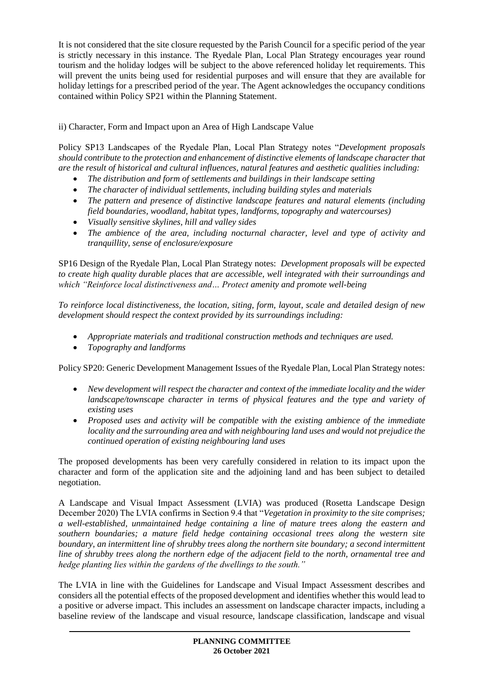It is not considered that the site closure requested by the Parish Council for a specific period of the year is strictly necessary in this instance. The Ryedale Plan, Local Plan Strategy encourages year round tourism and the holiday lodges will be subject to the above referenced holiday let requirements. This will prevent the units being used for residential purposes and will ensure that they are available for holiday lettings for a prescribed period of the year. The Agent acknowledges the occupancy conditions contained within Policy SP21 within the Planning Statement.

ii) Character, Form and Impact upon an Area of High Landscape Value

Policy SP13 Landscapes of the Ryedale Plan, Local Plan Strategy notes "*Development proposals should contribute to the protection and enhancement of distinctive elements of landscape character that are the result of historical and cultural influences, natural features and aesthetic qualities including:* 

- *The distribution and form of settlements and buildings in their landscape setting*
- *The character of individual settlements, including building styles and materials*
- *The pattern and presence of distinctive landscape features and natural elements (including field boundaries, woodland, habitat types, landforms, topography and watercourses)*
- *Visually sensitive skylines, hill and valley sides*
- *The ambience of the area, including nocturnal character, level and type of activity and tranquillity, sense of enclosure/exposure*

SP16 Design of the Ryedale Plan, Local Plan Strategy notes: *Development proposals will be expected to create high quality durable places that are accessible, well integrated with their surroundings and which "Reinforce local distinctiveness and… Protect amenity and promote well-being*

*To reinforce local distinctiveness, the location, siting, form, layout, scale and detailed design of new development should respect the context provided by its surroundings including:*

- *Appropriate materials and traditional construction methods and techniques are used.*
- *Topography and landforms*

Policy SP20: Generic Development Management Issues of the Ryedale Plan, Local Plan Strategy notes:

- *New development will respect the character and context of the immediate locality and the wider landscape/townscape character in terms of physical features and the type and variety of existing uses*
- *Proposed uses and activity will be compatible with the existing ambience of the immediate locality and the surrounding area and with neighbouring land uses and would not prejudice the continued operation of existing neighbouring land uses*

The proposed developments has been very carefully considered in relation to its impact upon the character and form of the application site and the adjoining land and has been subject to detailed negotiation.

A Landscape and Visual Impact Assessment (LVIA) was produced (Rosetta Landscape Design December 2020) The LVIA confirms in Section 9.4 that "*Vegetation in proximity to the site comprises; a well-established, unmaintained hedge containing a line of mature trees along the eastern and southern boundaries; a mature field hedge containing occasional trees along the western site boundary, an intermittent line of shrubby trees along the northern site boundary; a second intermittent line of shrubby trees along the northern edge of the adjacent field to the north, ornamental tree and hedge planting lies within the gardens of the dwellings to the south."*

The LVIA in line with the Guidelines for Landscape and Visual Impact Assessment describes and considers all the potential effects of the proposed development and identifies whether this would lead to a positive or adverse impact. This includes an assessment on landscape character impacts, including a baseline review of the landscape and visual resource, landscape classification, landscape and visual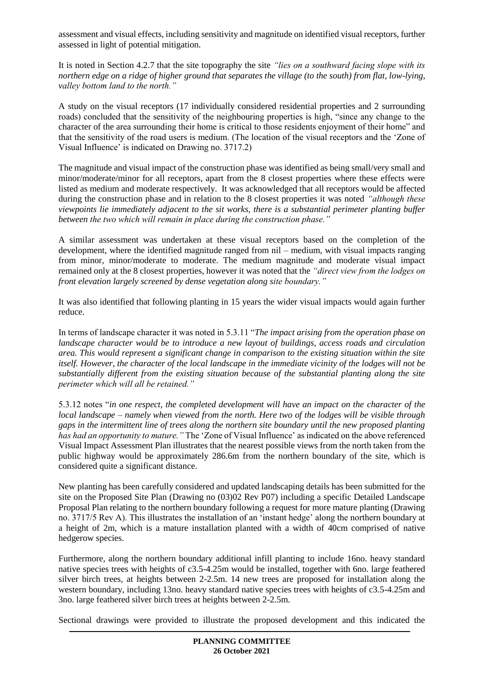assessment and visual effects, including sensitivity and magnitude on identified visual receptors, further assessed in light of potential mitigation.

It is noted in Section 4.2.7 that the site topography the site *"lies on a southward facing slope with its northern edge on a ridge of higher ground that separates the village (to the south) from flat, low-lying, valley bottom land to the north."*

A study on the visual receptors (17 individually considered residential properties and 2 surrounding roads) concluded that the sensitivity of the neighbouring properties is high, "since any change to the character of the area surrounding their home is critical to those residents enjoyment of their home" and that the sensitivity of the road users is medium. (The location of the visual receptors and the 'Zone of Visual Influence' is indicated on Drawing no. 3717.2)

The magnitude and visual impact of the construction phase was identified as being small/very small and minor/moderate/minor for all receptors, apart from the 8 closest properties where these effects were listed as medium and moderate respectively. It was acknowledged that all receptors would be affected during the construction phase and in relation to the 8 closest properties it was noted *"although these viewpoints lie immediately adjacent to the sit works, there is a substantial perimeter planting buffer between the two which will remain in place during the construction phase."*

A similar assessment was undertaken at these visual receptors based on the completion of the development, where the identified magnitude ranged from nil – medium, with visual impacts ranging from minor, minor/moderate to moderate. The medium magnitude and moderate visual impact remained only at the 8 closest properties, however it was noted that the *"direct view from the lodges on front elevation largely screened by dense vegetation along site boundary."*

It was also identified that following planting in 15 years the wider visual impacts would again further reduce.

In terms of landscape character it was noted in 5.3.11 "*The impact arising from the operation phase on landscape character would be to introduce a new layout of buildings, access roads and circulation area. This would represent a significant change in comparison to the existing situation within the site itself. However, the character of the local landscape in the immediate vicinity of the lodges will not be substantially different from the existing situation because of the substantial planting along the site perimeter which will all be retained."*

5.3.12 notes "*in one respect, the completed development will have an impact on the character of the local landscape – namely when viewed from the north. Here two of the lodges will be visible through gaps in the intermittent line of trees along the northern site boundary until the new proposed planting has had an opportunity to mature."* The 'Zone of Visual Influence' as indicated on the above referenced Visual Impact Assessment Plan illustrates that the nearest possible views from the north taken from the public highway would be approximately 286.6m from the northern boundary of the site, which is considered quite a significant distance.

New planting has been carefully considered and updated landscaping details has been submitted for the site on the Proposed Site Plan (Drawing no (03)02 Rev P07) including a specific Detailed Landscape Proposal Plan relating to the northern boundary following a request for more mature planting (Drawing no. 3717/5 Rev A). This illustrates the installation of an 'instant hedge' along the northern boundary at a height of 2m, which is a mature installation planted with a width of 40cm comprised of native hedgerow species.

Furthermore, along the northern boundary additional infill planting to include 16no. heavy standard native species trees with heights of c3.5-4.25m would be installed, together with 6no. large feathered silver birch trees, at heights between 2-2.5m. 14 new trees are proposed for installation along the western boundary, including 13no. heavy standard native species trees with heights of c3.5-4.25m and 3no. large feathered silver birch trees at heights between 2-2.5m.

Sectional drawings were provided to illustrate the proposed development and this indicated the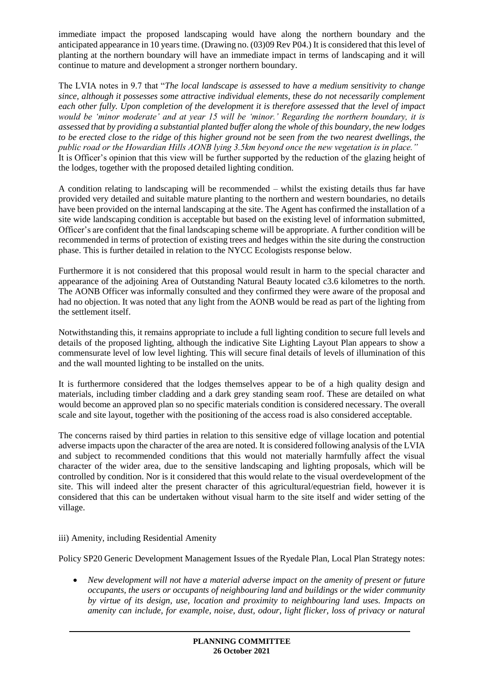immediate impact the proposed landscaping would have along the northern boundary and the anticipated appearance in 10 years time. (Drawing no. (03)09 Rev P04.) It is considered that this level of planting at the northern boundary will have an immediate impact in terms of landscaping and it will continue to mature and development a stronger northern boundary.

The LVIA notes in 9.7 that "*The local landscape is assessed to have a medium sensitivity to change since, although it possesses some attractive individual elements, these do not necessarily complement each other fully. Upon completion of the development it is therefore assessed that the level of impact would be 'minor moderate' and at year 15 will be 'minor.' Regarding the northern boundary, it is assessed that by providing a substantial planted buffer along the whole of this boundary, the new lodges to be erected close to the ridge of this higher ground not be seen from the two nearest dwellings, the public road or the Howardian Hills AONB lying 3.5km beyond once the new vegetation is in place."* It is Officer's opinion that this view will be further supported by the reduction of the glazing height of the lodges, together with the proposed detailed lighting condition.

A condition relating to landscaping will be recommended – whilst the existing details thus far have provided very detailed and suitable mature planting to the northern and western boundaries, no details have been provided on the internal landscaping at the site. The Agent has confirmed the installation of a site wide landscaping condition is acceptable but based on the existing level of information submitted, Officer's are confident that the final landscaping scheme will be appropriate. A further condition will be recommended in terms of protection of existing trees and hedges within the site during the construction phase. This is further detailed in relation to the NYCC Ecologists response below.

Furthermore it is not considered that this proposal would result in harm to the special character and appearance of the adjoining Area of Outstanding Natural Beauty located c3.6 kilometres to the north. The AONB Officer was informally consulted and they confirmed they were aware of the proposal and had no objection. It was noted that any light from the AONB would be read as part of the lighting from the settlement itself.

Notwithstanding this, it remains appropriate to include a full lighting condition to secure full levels and details of the proposed lighting, although the indicative Site Lighting Layout Plan appears to show a commensurate level of low level lighting. This will secure final details of levels of illumination of this and the wall mounted lighting to be installed on the units.

It is furthermore considered that the lodges themselves appear to be of a high quality design and materials, including timber cladding and a dark grey standing seam roof. These are detailed on what would become an approved plan so no specific materials condition is considered necessary. The overall scale and site layout, together with the positioning of the access road is also considered acceptable.

The concerns raised by third parties in relation to this sensitive edge of village location and potential adverse impacts upon the character of the area are noted. It is considered following analysis of the LVIA and subject to recommended conditions that this would not materially harmfully affect the visual character of the wider area, due to the sensitive landscaping and lighting proposals, which will be controlled by condition. Nor is it considered that this would relate to the visual overdevelopment of the site. This will indeed alter the present character of this agricultural/equestrian field, however it is considered that this can be undertaken without visual harm to the site itself and wider setting of the village.

### iii) Amenity, including Residential Amenity

Policy SP20 Generic Development Management Issues of the Ryedale Plan, Local Plan Strategy notes:

 *New development will not have a material adverse impact on the amenity of present or future occupants, the users or occupants of neighbouring land and buildings or the wider community by virtue of its design, use, location and proximity to neighbouring land uses. Impacts on amenity can include, for example, noise, dust, odour, light flicker, loss of privacy or natural*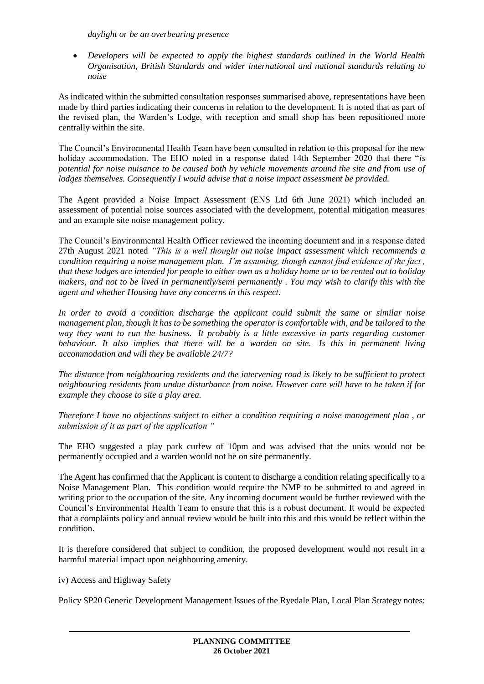*daylight or be an overbearing presence*

 *Developers will be expected to apply the highest standards outlined in the World Health Organisation, British Standards and wider international and national standards relating to noise*

As indicated within the submitted consultation responses summarised above, representations have been made by third parties indicating their concerns in relation to the development. It is noted that as part of the revised plan, the Warden's Lodge, with reception and small shop has been repositioned more centrally within the site.

The Council's Environmental Health Team have been consulted in relation to this proposal for the new holiday accommodation. The EHO noted in a response dated 14th September 2020 that there "*is potential for noise nuisance to be caused both by vehicle movements around the site and from use of lodges themselves. Consequently I would advise that a noise impact assessment be provided.* 

The Agent provided a Noise Impact Assessment (ENS Ltd 6th June 2021) which included an assessment of potential noise sources associated with the development, potential mitigation measures and an example site noise management policy.

The Council's Environmental Health Officer reviewed the incoming document and in a response dated 27th August 2021 noted *"This is a well thought out noise impact assessment which recommends a condition requiring a noise management plan. I'm assuming, though cannot find evidence of the fact , that these lodges are intended for people to either own as a holiday home or to be rented out to holiday makers, and not to be lived in permanently/semi permanently . You may wish to clarify this with the agent and whether Housing have any concerns in this respect.*

*In order to avoid a condition discharge the applicant could submit the same or similar noise management plan, though it has to be something the operator is comfortable with, and be tailored to the way they want to run the business. It probably is a little excessive in parts regarding customer behaviour. It also implies that there will be a warden on site. Is this in permanent living accommodation and will they be available 24/7?*

*The distance from neighbouring residents and the intervening road is likely to be sufficient to protect neighbouring residents from undue disturbance from noise. However care will have to be taken if for example they choose to site a play area.*

*Therefore I have no objections subject to either a condition requiring a noise management plan , or submission of it as part of the application "*

The EHO suggested a play park curfew of 10pm and was advised that the units would not be permanently occupied and a warden would not be on site permanently.

The Agent has confirmed that the Applicant is content to discharge a condition relating specifically to a Noise Management Plan. This condition would require the NMP to be submitted to and agreed in writing prior to the occupation of the site. Any incoming document would be further reviewed with the Council's Environmental Health Team to ensure that this is a robust document. It would be expected that a complaints policy and annual review would be built into this and this would be reflect within the condition.

It is therefore considered that subject to condition, the proposed development would not result in a harmful material impact upon neighbouring amenity.

iv) Access and Highway Safety

Policy SP20 Generic Development Management Issues of the Ryedale Plan, Local Plan Strategy notes: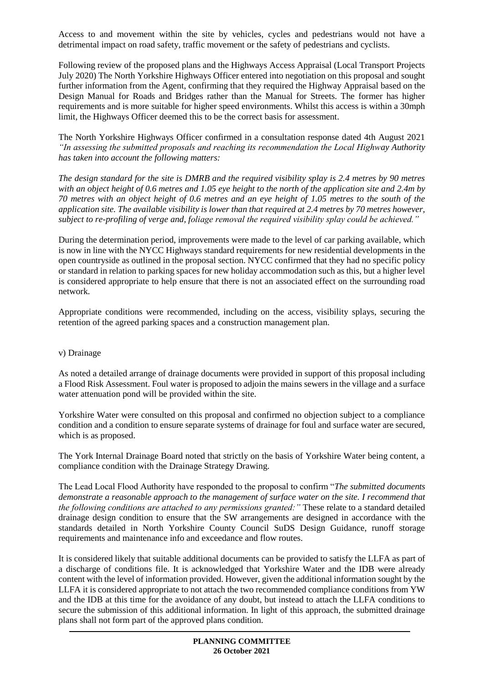Access to and movement within the site by vehicles, cycles and pedestrians would not have a detrimental impact on road safety, traffic movement or the safety of pedestrians and cyclists.

Following review of the proposed plans and the Highways Access Appraisal (Local Transport Projects July 2020) The North Yorkshire Highways Officer entered into negotiation on this proposal and sought further information from the Agent, confirming that they required the Highway Appraisal based on the Design Manual for Roads and Bridges rather than the Manual for Streets. The former has higher requirements and is more suitable for higher speed environments. Whilst this access is within a 30mph limit, the Highways Officer deemed this to be the correct basis for assessment.

The North Yorkshire Highways Officer confirmed in a consultation response dated 4th August 2021 *"In assessing the submitted proposals and reaching its recommendation the Local Highway Authority has taken into account the following matters:*

*The design standard for the site is DMRB and the required visibility splay is 2.4 metres by 90 metres with an object height of 0.6 metres and 1.05 eye height to the north of the application site and 2.4m by 70 metres with an object height of 0.6 metres and an eye height of 1.05 metres to the south of the application site. The available visibility is lower than that required at 2.4 metres by 70 metres however, subject to re-profiling of verge and, foliage removal the required visibility splay could be achieved."*

During the determination period, improvements were made to the level of car parking available, which is now in line with the NYCC Highways standard requirements for new residential developments in the open countryside as outlined in the proposal section. NYCC confirmed that they had no specific policy or standard in relation to parking spaces for new holiday accommodation such as this, but a higher level is considered appropriate to help ensure that there is not an associated effect on the surrounding road network.

Appropriate conditions were recommended, including on the access, visibility splays, securing the retention of the agreed parking spaces and a construction management plan.

#### v) Drainage

As noted a detailed arrange of drainage documents were provided in support of this proposal including a Flood Risk Assessment. Foul water is proposed to adjoin the mains sewers in the village and a surface water attenuation pond will be provided within the site.

Yorkshire Water were consulted on this proposal and confirmed no objection subject to a compliance condition and a condition to ensure separate systems of drainage for foul and surface water are secured, which is as proposed.

The York Internal Drainage Board noted that strictly on the basis of Yorkshire Water being content, a compliance condition with the Drainage Strategy Drawing.

The Lead Local Flood Authority have responded to the proposal to confirm "*The submitted documents demonstrate a reasonable approach to the management of surface water on the site. I recommend that the following conditions are attached to any permissions granted:"* These relate to a standard detailed drainage design condition to ensure that the SW arrangements are designed in accordance with the standards detailed in North Yorkshire County Council SuDS Design Guidance, runoff storage requirements and maintenance info and exceedance and flow routes.

It is considered likely that suitable additional documents can be provided to satisfy the LLFA as part of a discharge of conditions file. It is acknowledged that Yorkshire Water and the IDB were already content with the level of information provided. However, given the additional information sought by the LLFA it is considered appropriate to not attach the two recommended compliance conditions from YW and the IDB at this time for the avoidance of any doubt, but instead to attach the LLFA conditions to secure the submission of this additional information. In light of this approach, the submitted drainage plans shall not form part of the approved plans condition.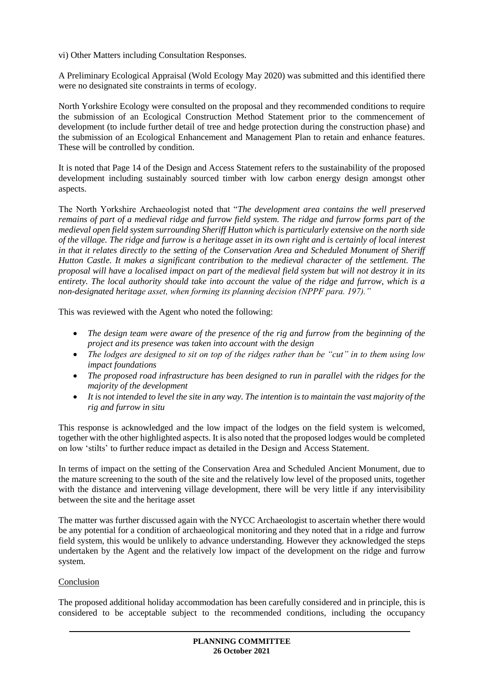vi) Other Matters including Consultation Responses.

A Preliminary Ecological Appraisal (Wold Ecology May 2020) was submitted and this identified there were no designated site constraints in terms of ecology.

North Yorkshire Ecology were consulted on the proposal and they recommended conditions to require the submission of an Ecological Construction Method Statement prior to the commencement of development (to include further detail of tree and hedge protection during the construction phase) and the submission of an Ecological Enhancement and Management Plan to retain and enhance features. These will be controlled by condition.

It is noted that Page 14 of the Design and Access Statement refers to the sustainability of the proposed development including sustainably sourced timber with low carbon energy design amongst other aspects.

The North Yorkshire Archaeologist noted that "*The development area contains the well preserved remains of part of a medieval ridge and furrow field system. The ridge and furrow forms part of the medieval open field system surrounding Sheriff Hutton which is particularly extensive on the north side of the village. The ridge and furrow is a heritage asset in its own right and is certainly of local interest in that it relates directly to the setting of the Conservation Area and Scheduled Monument of Sheriff Hutton Castle. It makes a significant contribution to the medieval character of the settlement. The proposal will have a localised impact on part of the medieval field system but will not destroy it in its entirety. The local authority should take into account the value of the ridge and furrow, which is a non-designated heritage asset, when forming its planning decision (NPPF para. 197)."*

This was reviewed with the Agent who noted the following:

- *The design team were aware of the presence of the rig and furrow from the beginning of the project and its presence was taken into account with the design*
- *The lodges are designed to sit on top of the ridges rather than be "cut" in to them using low impact foundations*
- *The proposed road infrastructure has been designed to run in parallel with the ridges for the majority of the development*
- *It is not intended to level the site in any way. The intention is to maintain the vast majority of the rig and furrow in situ*

This response is acknowledged and the low impact of the lodges on the field system is welcomed, together with the other highlighted aspects. It is also noted that the proposed lodges would be completed on low 'stilts' to further reduce impact as detailed in the Design and Access Statement.

In terms of impact on the setting of the Conservation Area and Scheduled Ancient Monument, due to the mature screening to the south of the site and the relatively low level of the proposed units, together with the distance and intervening village development, there will be very little if any intervisibility between the site and the heritage asset

The matter was further discussed again with the NYCC Archaeologist to ascertain whether there would be any potential for a condition of archaeological monitoring and they noted that in a ridge and furrow field system, this would be unlikely to advance understanding. However they acknowledged the steps undertaken by the Agent and the relatively low impact of the development on the ridge and furrow system.

## **Conclusion**

The proposed additional holiday accommodation has been carefully considered and in principle, this is considered to be acceptable subject to the recommended conditions, including the occupancy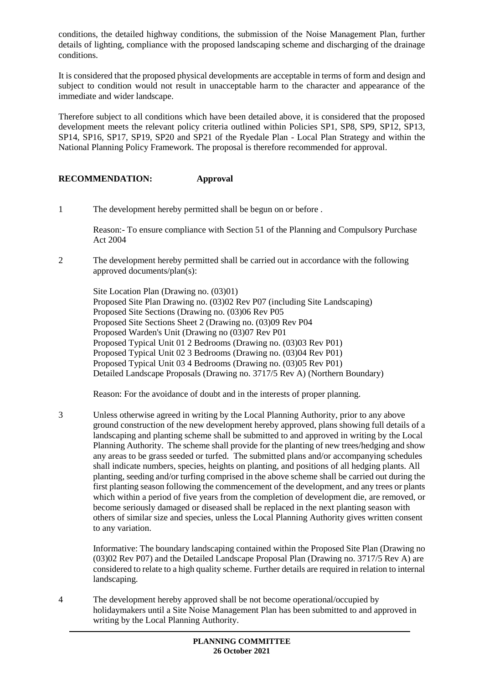conditions, the detailed highway conditions, the submission of the Noise Management Plan, further details of lighting, compliance with the proposed landscaping scheme and discharging of the drainage conditions.

It is considered that the proposed physical developments are acceptable in terms of form and design and subject to condition would not result in unacceptable harm to the character and appearance of the immediate and wider landscape.

Therefore subject to all conditions which have been detailed above, it is considered that the proposed development meets the relevant policy criteria outlined within Policies SP1, SP8, SP9, SP12, SP13, SP14, SP16, SP17, SP19, SP20 and SP21 of the Ryedale Plan - Local Plan Strategy and within the National Planning Policy Framework. The proposal is therefore recommended for approval.

### **RECOMMENDATION: Approval**

1 The development hereby permitted shall be begun on or before .

Reason:- To ensure compliance with Section 51 of the Planning and Compulsory Purchase Act 2004

2 The development hereby permitted shall be carried out in accordance with the following approved documents/plan(s):

Site Location Plan (Drawing no. (03)01) Proposed Site Plan Drawing no. (03)02 Rev P07 (including Site Landscaping) Proposed Site Sections (Drawing no. (03)06 Rev P05 Proposed Site Sections Sheet 2 (Drawing no. (03)09 Rev P04 Proposed Warden's Unit (Drawing no (03)07 Rev P01 Proposed Typical Unit 01 2 Bedrooms (Drawing no. (03)03 Rev P01) Proposed Typical Unit 02 3 Bedrooms (Drawing no. (03)04 Rev P01) Proposed Typical Unit 03 4 Bedrooms (Drawing no. (03)05 Rev P01) Detailed Landscape Proposals (Drawing no. 3717/5 Rev A) (Northern Boundary)

Reason: For the avoidance of doubt and in the interests of proper planning.

3 Unless otherwise agreed in writing by the Local Planning Authority, prior to any above ground construction of the new development hereby approved, plans showing full details of a landscaping and planting scheme shall be submitted to and approved in writing by the Local Planning Authority. The scheme shall provide for the planting of new trees/hedging and show any areas to be grass seeded or turfed. The submitted plans and/or accompanying schedules shall indicate numbers, species, heights on planting, and positions of all hedging plants. All planting, seeding and/or turfing comprised in the above scheme shall be carried out during the first planting season following the commencement of the development, and any trees or plants which within a period of five years from the completion of development die, are removed, or become seriously damaged or diseased shall be replaced in the next planting season with others of similar size and species, unless the Local Planning Authority gives written consent to any variation.

Informative: The boundary landscaping contained within the Proposed Site Plan (Drawing no (03)02 Rev P07) and the Detailed Landscape Proposal Plan (Drawing no. 3717/5 Rev A) are considered to relate to a high quality scheme. Further details are required in relation to internal landscaping.

4 The development hereby approved shall be not become operational/occupied by holidaymakers until a Site Noise Management Plan has been submitted to and approved in writing by the Local Planning Authority.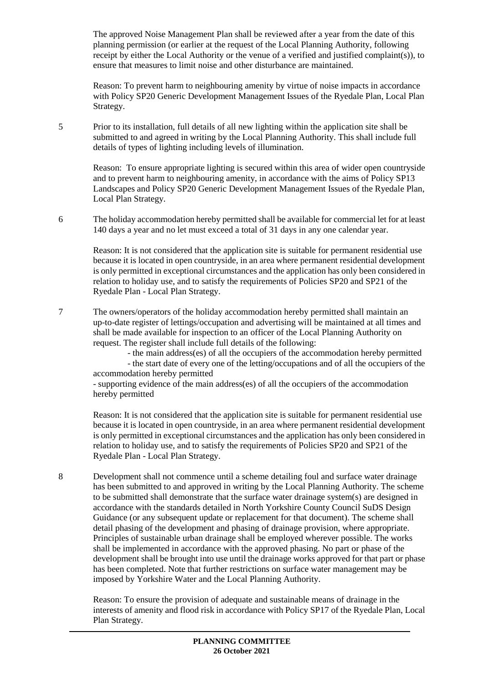The approved Noise Management Plan shall be reviewed after a year from the date of this planning permission (or earlier at the request of the Local Planning Authority, following receipt by either the Local Authority or the venue of a verified and justified complaint(s)), to ensure that measures to limit noise and other disturbance are maintained.

Reason: To prevent harm to neighbouring amenity by virtue of noise impacts in accordance with Policy SP20 Generic Development Management Issues of the Ryedale Plan, Local Plan Strategy.

5 Prior to its installation, full details of all new lighting within the application site shall be submitted to and agreed in writing by the Local Planning Authority. This shall include full details of types of lighting including levels of illumination.

Reason: To ensure appropriate lighting is secured within this area of wider open countryside and to prevent harm to neighbouring amenity, in accordance with the aims of Policy SP13 Landscapes and Policy SP20 Generic Development Management Issues of the Ryedale Plan, Local Plan Strategy.

6 The holiday accommodation hereby permitted shall be available for commercial let for at least 140 days a year and no let must exceed a total of 31 days in any one calendar year.

Reason: It is not considered that the application site is suitable for permanent residential use because it is located in open countryside, in an area where permanent residential development is only permitted in exceptional circumstances and the application has only been considered in relation to holiday use, and to satisfy the requirements of Policies SP20 and SP21 of the Ryedale Plan - Local Plan Strategy.

7 The owners/operators of the holiday accommodation hereby permitted shall maintain an up-to-date register of lettings/occupation and advertising will be maintained at all times and shall be made available for inspection to an officer of the Local Planning Authority on request. The register shall include full details of the following:

- the main address(es) of all the occupiers of the accommodation hereby permitted

- the start date of every one of the letting/occupations and of all the occupiers of the accommodation hereby permitted

- supporting evidence of the main address(es) of all the occupiers of the accommodation hereby permitted

Reason: It is not considered that the application site is suitable for permanent residential use because it is located in open countryside, in an area where permanent residential development is only permitted in exceptional circumstances and the application has only been considered in relation to holiday use, and to satisfy the requirements of Policies SP20 and SP21 of the Ryedale Plan - Local Plan Strategy.

8 Development shall not commence until a scheme detailing foul and surface water drainage has been submitted to and approved in writing by the Local Planning Authority. The scheme to be submitted shall demonstrate that the surface water drainage system(s) are designed in accordance with the standards detailed in North Yorkshire County Council SuDS Design Guidance (or any subsequent update or replacement for that document). The scheme shall detail phasing of the development and phasing of drainage provision, where appropriate. Principles of sustainable urban drainage shall be employed wherever possible. The works shall be implemented in accordance with the approved phasing. No part or phase of the development shall be brought into use until the drainage works approved for that part or phase has been completed. Note that further restrictions on surface water management may be imposed by Yorkshire Water and the Local Planning Authority.

Reason: To ensure the provision of adequate and sustainable means of drainage in the interests of amenity and flood risk in accordance with Policy SP17 of the Ryedale Plan, Local Plan Strategy.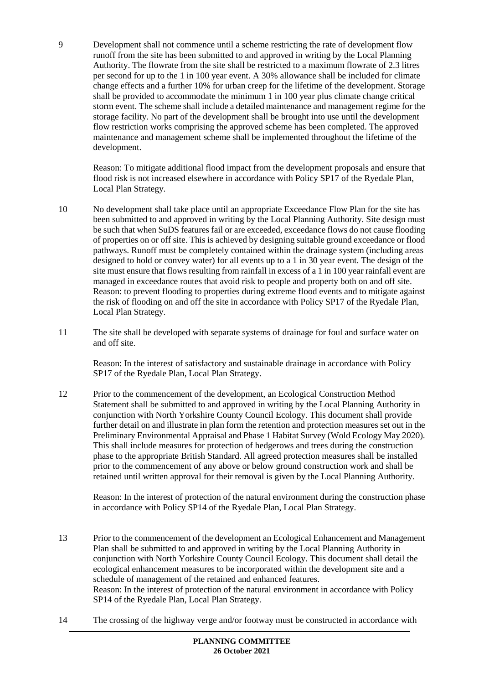9 Development shall not commence until a scheme restricting the rate of development flow runoff from the site has been submitted to and approved in writing by the Local Planning Authority. The flowrate from the site shall be restricted to a maximum flowrate of 2.3 litres per second for up to the 1 in 100 year event. A 30% allowance shall be included for climate change effects and a further 10% for urban creep for the lifetime of the development. Storage shall be provided to accommodate the minimum 1 in 100 year plus climate change critical storm event. The scheme shall include a detailed maintenance and management regime for the storage facility. No part of the development shall be brought into use until the development flow restriction works comprising the approved scheme has been completed. The approved maintenance and management scheme shall be implemented throughout the lifetime of the development.

Reason: To mitigate additional flood impact from the development proposals and ensure that flood risk is not increased elsewhere in accordance with Policy SP17 of the Ryedale Plan, Local Plan Strategy.

- 10 No development shall take place until an appropriate Exceedance Flow Plan for the site has been submitted to and approved in writing by the Local Planning Authority. Site design must be such that when SuDS features fail or are exceeded, exceedance flows do not cause flooding of properties on or off site. This is achieved by designing suitable ground exceedance or flood pathways. Runoff must be completely contained within the drainage system (including areas designed to hold or convey water) for all events up to a 1 in 30 year event. The design of the site must ensure that flows resulting from rainfall in excess of a 1 in 100 year rainfall event are managed in exceedance routes that avoid risk to people and property both on and off site. Reason: to prevent flooding to properties during extreme flood events and to mitigate against the risk of flooding on and off the site in accordance with Policy SP17 of the Ryedale Plan, Local Plan Strategy.
- 11 The site shall be developed with separate systems of drainage for foul and surface water on and off site.

Reason: In the interest of satisfactory and sustainable drainage in accordance with Policy SP17 of the Ryedale Plan, Local Plan Strategy.

12 Prior to the commencement of the development, an Ecological Construction Method Statement shall be submitted to and approved in writing by the Local Planning Authority in conjunction with North Yorkshire County Council Ecology. This document shall provide further detail on and illustrate in plan form the retention and protection measures set out in the Preliminary Environmental Appraisal and Phase 1 Habitat Survey (Wold Ecology May 2020). This shall include measures for protection of hedgerows and trees during the construction phase to the appropriate British Standard. All agreed protection measures shall be installed prior to the commencement of any above or below ground construction work and shall be retained until written approval for their removal is given by the Local Planning Authority.

Reason: In the interest of protection of the natural environment during the construction phase in accordance with Policy SP14 of the Ryedale Plan, Local Plan Strategy.

- 13 Prior to the commencement of the development an Ecological Enhancement and Management Plan shall be submitted to and approved in writing by the Local Planning Authority in conjunction with North Yorkshire County Council Ecology. This document shall detail the ecological enhancement measures to be incorporated within the development site and a schedule of management of the retained and enhanced features. Reason: In the interest of protection of the natural environment in accordance with Policy SP14 of the Ryedale Plan, Local Plan Strategy.
- 14 The crossing of the highway verge and/or footway must be constructed in accordance with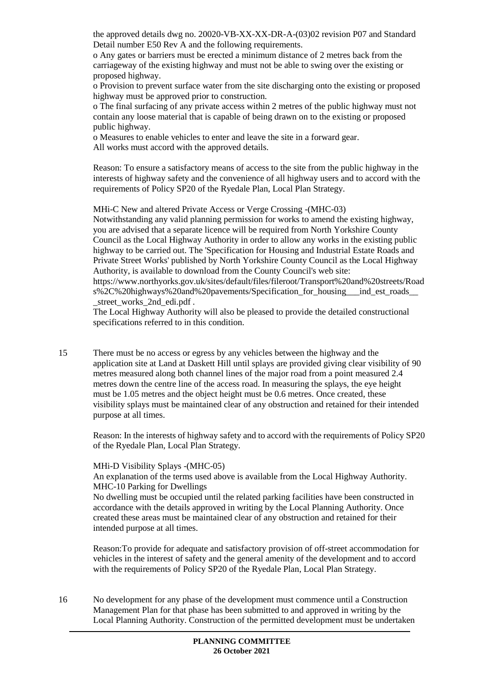the approved details dwg no. 20020-VB-XX-XX-DR-A-(03)02 revision P07 and Standard Detail number E50 Rev A and the following requirements.

o Any gates or barriers must be erected a minimum distance of 2 metres back from the carriageway of the existing highway and must not be able to swing over the existing or proposed highway.

o Provision to prevent surface water from the site discharging onto the existing or proposed highway must be approved prior to construction.

o The final surfacing of any private access within 2 metres of the public highway must not contain any loose material that is capable of being drawn on to the existing or proposed public highway.

o Measures to enable vehicles to enter and leave the site in a forward gear. All works must accord with the approved details.

Reason: To ensure a satisfactory means of access to the site from the public highway in the interests of highway safety and the convenience of all highway users and to accord with the requirements of Policy SP20 of the Ryedale Plan, Local Plan Strategy.

MHi-C New and altered Private Access or Verge Crossing -(MHC-03)

Notwithstanding any valid planning permission for works to amend the existing highway, you are advised that a separate licence will be required from North Yorkshire County Council as the Local Highway Authority in order to allow any works in the existing public highway to be carried out. The 'Specification for Housing and Industrial Estate Roads and Private Street Works' published by North Yorkshire County Council as the Local Highway Authority, is available to download from the County Council's web site: https://www.northyorks.gov.uk/sites/default/files/fileroot/Transport%20and%20streets/Road s%2C%20highways%20and%20pavements/Specification for housing ind est roads street works 2nd edi.pdf.

The Local Highway Authority will also be pleased to provide the detailed constructional specifications referred to in this condition.

15 There must be no access or egress by any vehicles between the highway and the application site at Land at Daskett Hill until splays are provided giving clear visibility of 90 metres measured along both channel lines of the major road from a point measured 2.4 metres down the centre line of the access road. In measuring the splays, the eye height must be 1.05 metres and the object height must be 0.6 metres. Once created, these visibility splays must be maintained clear of any obstruction and retained for their intended purpose at all times.

Reason: In the interests of highway safety and to accord with the requirements of Policy SP20 of the Ryedale Plan, Local Plan Strategy.

#### MHi-D Visibility Splays -(MHC-05)

An explanation of the terms used above is available from the Local Highway Authority. MHC-10 Parking for Dwellings

No dwelling must be occupied until the related parking facilities have been constructed in accordance with the details approved in writing by the Local Planning Authority. Once created these areas must be maintained clear of any obstruction and retained for their intended purpose at all times.

Reason:To provide for adequate and satisfactory provision of off-street accommodation for vehicles in the interest of safety and the general amenity of the development and to accord with the requirements of Policy SP20 of the Ryedale Plan, Local Plan Strategy.

16 No development for any phase of the development must commence until a Construction Management Plan for that phase has been submitted to and approved in writing by the Local Planning Authority. Construction of the permitted development must be undertaken